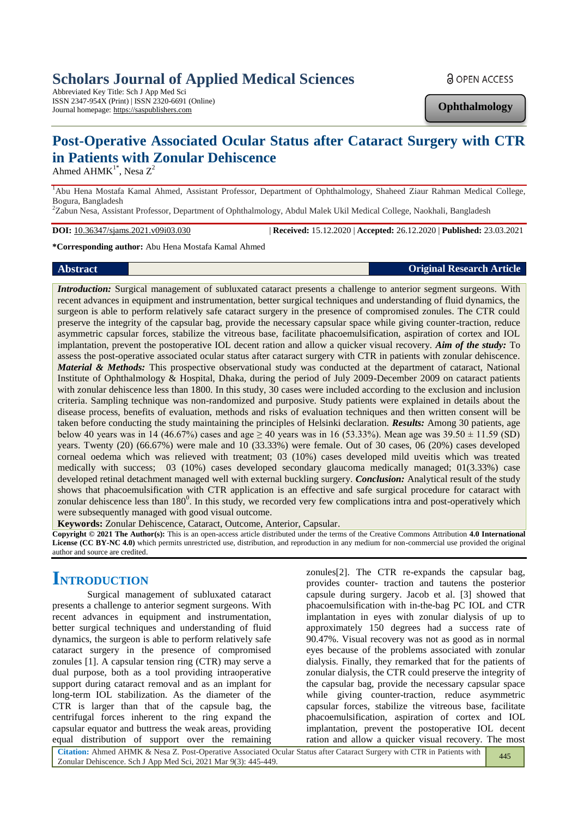# **Scholars Journal of Applied Medical Sciences**

Abbreviated Key Title: Sch J App Med Sci ISSN 2347-954X (Print) | ISSN 2320-6691 (Online) Journal homepage: https://saspublishers.com

**Ophthalmology**

# **Post-Operative Associated Ocular Status after Cataract Surgery with CTR in Patients with Zonular Dehiscence**

Ahmed AHM $K^{1*}$ , Nesa  $Z^2$ 

<sup>1</sup>Abu Hena Mostafa Kamal Ahmed, Assistant Professor, Department of Ophthalmology, Shaheed Ziaur Rahman Medical College, Bogura, Bangladesh

<sup>2</sup>Zabun Nesa, Assistant Professor, Department of Ophthalmology, Abdul Malek Ukil Medical College, Naokhali, Bangladesh

**DOI:** 10.36347/sjams.2021.v09i03.030 | **Received:** 15.12.2020 | **Accepted:** 26.12.2020 | **Published:** 23.03.2021

**\*Corresponding author:** Abu Hena Mostafa Kamal Ahmed

#### **Abstract Original Research Article**

*Introduction:* Surgical management of subluxated cataract presents a challenge to anterior segment surgeons. With recent advances in equipment and instrumentation, better surgical techniques and understanding of fluid dynamics, the surgeon is able to perform relatively safe cataract surgery in the presence of compromised zonules. The CTR could preserve the integrity of the capsular bag, provide the necessary capsular space while giving counter-traction, reduce asymmetric capsular forces, stabilize the vitreous base, facilitate phacoemulsification, aspiration of cortex and IOL implantation, prevent the postoperative IOL decent ration and allow a quicker visual recovery*. Aim of the study:* To assess the post-operative associated ocular status after cataract surgery with CTR in patients with zonular dehiscence*. Material & Methods:* This prospective observational study was conducted at the department of cataract, National Institute of Ophthalmology & Hospital, Dhaka, during the period of July 2009-December 2009 on cataract patients with zonular dehiscence less than 1800. In this study, 30 cases were included according to the exclusion and inclusion criteria. Sampling technique was non-randomized and purposive. Study patients were explained in details about the disease process, benefits of evaluation, methods and risks of evaluation techniques and then written consent will be taken before conducting the study maintaining the principles of Helsinki declaration. *Results:* Among 30 patients, age below 40 years was in 14 (46.67%) cases and age  $\geq$  40 years was in 16 (53.33%). Mean age was 39.50  $\pm$  11.59 (SD) years. Twenty (20) (66.67%) were male and 10 (33.33%) were female. Out of 30 cases, 06 (20%) cases developed corneal oedema which was relieved with treatment; 03 (10%) cases developed mild uveitis which was treated medically with success; 03 (10%) cases developed secondary glaucoma medically managed; 01(3.33%) case developed retinal detachment managed well with external buckling surgery*. Conclusion:* Analytical result of the study shows that phacoemulsification with CTR application is an effective and safe surgical procedure for cataract with zonular dehiscence less than  $180^0$ . In this study, we recorded very few complications intra and post-operatively which were subsequently managed with good visual outcome.

**Keywords:** Zonular Dehiscence, Cataract, Outcome, Anterior, Capsular.

**Copyright © 2021 The Author(s):** This is an open-access article distributed under the terms of the Creative Commons Attribution **4.0 International License (CC BY-NC 4.0)** which permits unrestricted use, distribution, and reproduction in any medium for non-commercial use provided the original author and source are credited.

# **INTRODUCTION**

Surgical management of subluxated cataract presents a challenge to anterior segment surgeons. With recent advances in equipment and instrumentation, better surgical techniques and understanding of fluid dynamics, the surgeon is able to perform relatively safe cataract surgery in the presence of compromised zonules [1]. A capsular tension ring (CTR) may serve a dual purpose, both as a tool providing intraoperative support during cataract removal and as an implant for long-term IOL stabilization. As the diameter of the CTR is larger than that of the capsule bag, the centrifugal forces inherent to the ring expand the capsular equator and buttress the weak areas, providing equal distribution of support over the remaining

zonules[2]. The CTR re-expands the capsular bag, provides counter- traction and tautens the posterior capsule during surgery. Jacob et al. [3] showed that phacoemulsification with in-the-bag PC IOL and CTR implantation in eyes with zonular dialysis of up to approximately 150 degrees had a success rate of 90.47%. Visual recovery was not as good as in normal eyes because of the problems associated with zonular dialysis. Finally, they remarked that for the patients of zonular dialysis, the CTR could preserve the integrity of the capsular bag, provide the necessary capsular space while giving counter-traction, reduce asymmetric capsular forces, stabilize the vitreous base, facilitate phacoemulsification, aspiration of cortex and IOL implantation, prevent the postoperative IOL decent ration and allow a quicker visual recovery. The most

**Citation:** Ahmed AHMK & Nesa Z. Post-Operative Associated Ocular Status after Cataract Surgery with CTR in Patients with Zonular Dehiscence. Sch J App Med Sci, 2021 Mar 9(3): 445-449.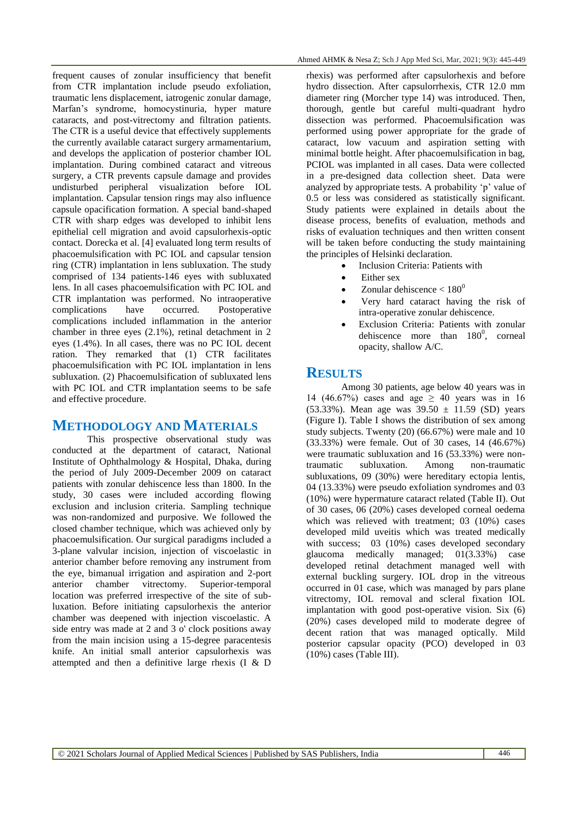frequent causes of zonular insufficiency that benefit from CTR implantation include pseudo exfoliation, traumatic lens displacement, iatrogenic zonular damage, Marfan's syndrome, homocystinuria, hyper mature cataracts, and post-vitrectomy and filtration patients. The CTR is a useful device that effectively supplements the currently available cataract surgery armamentarium, and develops the application of posterior chamber IOL implantation. During combined cataract and vitreous surgery, a CTR prevents capsule damage and provides undisturbed peripheral visualization before IOL implantation. Capsular tension rings may also influence capsule opacification formation. A special band-shaped CTR with sharp edges was developed to inhibit lens epithelial cell migration and avoid capsulorhexis-optic contact. Dorecka et al. [4] evaluated long term results of phacoemulsification with PC IOL and capsular tension ring (CTR) implantation in lens subluxation. The study comprised of 134 patients-146 eyes with subluxated lens. In all cases phacoemulsification with PC IOL and CTR implantation was performed. No intraoperative complications have occurred. Postoperative complications included inflammation in the anterior chamber in three eyes (2.1%), retinal detachment in 2 eyes (1.4%). In all cases, there was no PC IOL decent ration. They remarked that (1) CTR facilitates phacoemulsification with PC IOL implantation in lens subluxation. (2) Phacoemulsification of subluxated lens with PC IOL and CTR implantation seems to be safe and effective procedure.

## **METHODOLOGY AND MATERIALS**

This prospective observational study was conducted at the department of cataract, National Institute of Ophthalmology & Hospital, Dhaka, during the period of July 2009-December 2009 on cataract patients with zonular dehiscence less than 1800. In the study, 30 cases were included according flowing exclusion and inclusion criteria. Sampling technique was non-randomized and purposive. We followed the closed chamber technique, which was achieved only by phacoemulsification. Our surgical paradigms included a 3-plane valvular incision, injection of viscoelastic in anterior chamber before removing any instrument from the eye, bimanual irrigation and aspiration and 2-port anterior chamber vitrectomy. Superior-temporal location was preferred irrespective of the site of subluxation. Before initiating capsulorhexis the anterior chamber was deepened with injection viscoelastic. A side entry was made at 2 and 3 o' clock positions away from the main incision using a 15-degree paracentesis knife. An initial small anterior capsulorhexis was attempted and then a definitive large rhexis (I & D

rhexis) was performed after capsulorhexis and before hydro dissection. After capsulorrhexis, CTR 12.0 mm diameter ring (Morcher type 14) was introduced. Then, thorough, gentle but careful multi-quadrant hydro dissection was performed. Phacoemulsification was performed using power appropriate for the grade of cataract, low vacuum and aspiration setting with minimal bottle height. After phacoemulsification in bag, PCIOL was implanted in all cases. Data were collected in a pre-designed data collection sheet. Data were analyzed by appropriate tests. A probability 'p' value of 0.5 or less was considered as statistically significant. Study patients were explained in details about the disease process, benefits of evaluation, methods and risks of evaluation techniques and then written consent will be taken before conducting the study maintaining the principles of Helsinki declaration.

- Inclusion Criteria: Patients with
- Either sex
- Zonular dehiscence  $< 180^\circ$
- Very hard cataract having the risk of intra-operative zonular dehiscence.
- Exclusion Criteria: Patients with zonular dehiscence more than  $180^0$ , corneal opacity, shallow A/C.

## **RESULTS**

Among 30 patients, age below 40 years was in 14 (46.67%) cases and age  $\geq$  40 years was in 16 (53.33%). Mean age was  $39.50 \pm 11.59$  (SD) years (Figure I). Table I shows the distribution of sex among study subjects. Twenty (20) (66.67%) were male and 10 (33.33%) were female. Out of 30 cases, 14 (46.67%) were traumatic subluxation and 16 (53.33%) were nontraumatic subluxation. Among non-traumatic subluxations, 09 (30%) were hereditary ectopia lentis, 04 (13.33%) were pseudo exfoliation syndromes and 03 (10%) were hypermature cataract related (Table II). Out of 30 cases, 06 (20%) cases developed corneal oedema which was relieved with treatment; 03 (10%) cases developed mild uveitis which was treated medically with success; 03 (10%) cases developed secondary glaucoma medically managed; 01(3.33%) case developed retinal detachment managed well with external buckling surgery. IOL drop in the vitreous occurred in 01 case, which was managed by pars plane vitrectomy, IOL removal and scleral fixation IOL implantation with good post-operative vision. Six (6) (20%) cases developed mild to moderate degree of decent ration that was managed optically. Mild posterior capsular opacity (PCO) developed in 03 (10%) cases (Table III).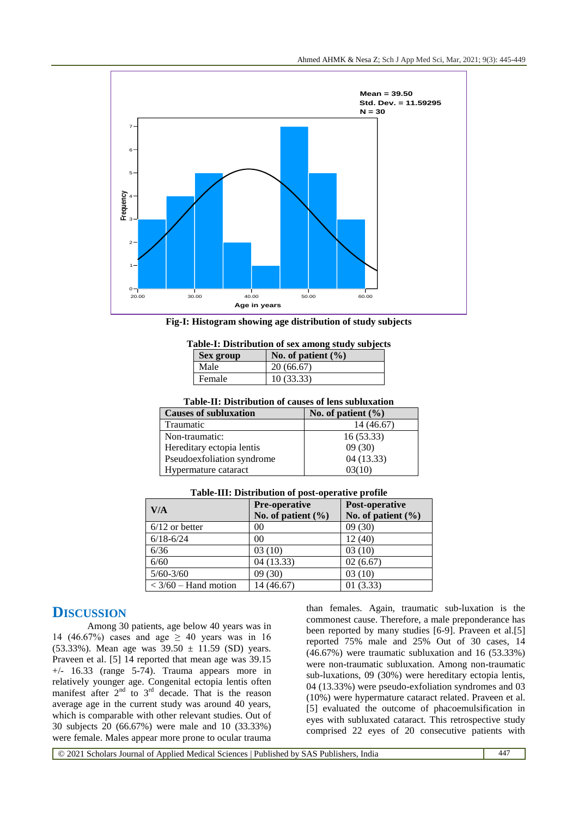

**Fig-I: Histogram showing age distribution of study subjects**

|  | Table-I: Distribution of sex among study subjects |  |  |  |  |
|--|---------------------------------------------------|--|--|--|--|
|--|---------------------------------------------------|--|--|--|--|

| <b>Sex group</b> | No. of patient $(\% )$ |
|------------------|------------------------|
| Male             | 20(66.67)              |
| Female           | 10(33.33)              |

| Table-II: Distribution of causes of lens subluxation |  |
|------------------------------------------------------|--|

| <b>Causes of subluxation</b> | No. of patient $(\% )$ |  |  |
|------------------------------|------------------------|--|--|
| Traumatic                    | 14 (46.67)             |  |  |
| Non-traumatic:               | 16(53.33)              |  |  |
| Hereditary ectopia lentis    | 09(30)                 |  |  |
| Pseudoexfoliation syndrome   | 04(13.33)              |  |  |
| Hypermature cataract         | 03(10)                 |  |  |

| V/A                    | Pre-operative<br>No. of patient $(\% )$ | Post-operative<br>No. of patient $(\% )$ |
|------------------------|-----------------------------------------|------------------------------------------|
| $6/12$ or better       | 00                                      | 09(30)                                   |
| $6/18 - 6/24$          | 00                                      | 12(40)                                   |
| 6/36                   | 03(10)                                  | 03(10)                                   |
| 6/60                   | 04(13.33)                               | 02(6.67)                                 |
| $5/60 - 3/60$          | 09(30)                                  | 03(10)                                   |
| $<$ 3/60 – Hand motion | 14 (46.67)                              | 01(3.33)                                 |

**Table-III: Distribution of post-operative profile**

# **DISCUSSION**

Among 30 patients, age below 40 years was in 14 (46.67%) cases and age  $\geq$  40 years was in 16 (53.33%). Mean age was  $39.50 \pm 11.59$  (SD) years. Praveen et al. [5] 14 reported that mean age was 39.15  $+/-$  16.33 (range 5-74). Trauma appears more in relatively younger age. Congenital ectopia lentis often manifest after  $2<sup>nd</sup>$  to  $3<sup>rd</sup>$  decade. That is the reason average age in the current study was around 40 years, which is comparable with other relevant studies. Out of 30 subjects 20 (66.67%) were male and 10 (33.33%) were female. Males appear more prone to ocular trauma

than females. Again, traumatic sub-luxation is the commonest cause. Therefore, a male preponderance has been reported by many studies [6-9]. Praveen et al.[5] reported 75% male and 25% Out of 30 cases, 14 (46.67%) were traumatic subluxation and 16 (53.33%) were non-traumatic subluxation. Among non-traumatic sub-luxations, 09 (30%) were hereditary ectopia lentis, 04 (13.33%) were pseudo-exfoliation syndromes and 03 (10%) were hypermature cataract related. Praveen et al. [5] evaluated the outcome of phacoemulsification in eyes with subluxated cataract. This retrospective study comprised 22 eyes of 20 consecutive patients with

© 2021 Scholars Journal of Applied Medical Sciences | Published by SAS Publishers, India 447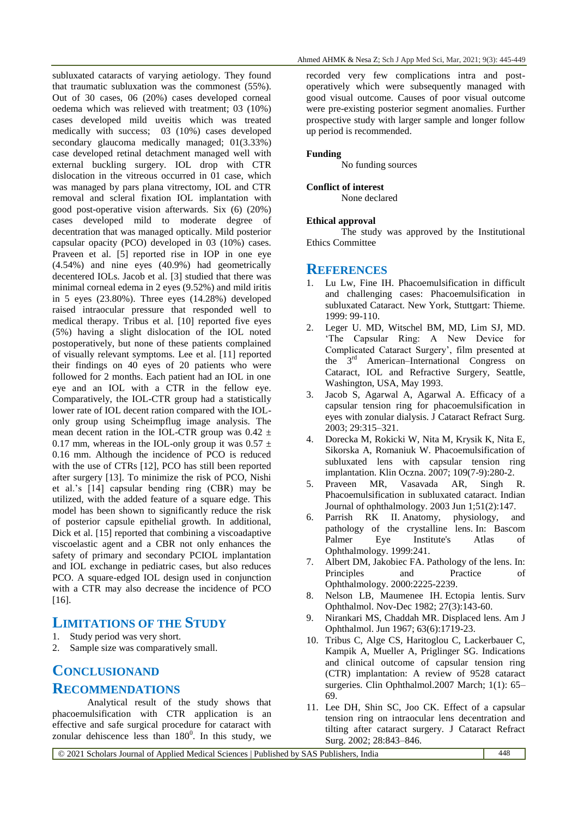subluxated cataracts of varying aetiology. They found that traumatic subluxation was the commonest (55%). Out of 30 cases, 06 (20%) cases developed corneal oedema which was relieved with treatment; 03 (10%) cases developed mild uveitis which was treated medically with success; 03 (10%) cases developed secondary glaucoma medically managed; 01(3.33%) case developed retinal detachment managed well with external buckling surgery. IOL drop with CTR dislocation in the vitreous occurred in 01 case, which was managed by pars plana vitrectomy, IOL and CTR removal and scleral fixation IOL implantation with good post-operative vision afterwards. Six (6) (20%) cases developed mild to moderate degree of decentration that was managed optically. Mild posterior capsular opacity (PCO) developed in 03 (10%) cases. Praveen et al. [5] reported rise in IOP in one eye (4.54%) and nine eyes (40.9%) had geometrically decentered IOLs. Jacob et al. [3] studied that there was minimal corneal edema in 2 eyes (9.52%) and mild iritis in 5 eyes (23.80%). Three eyes (14.28%) developed raised intraocular pressure that responded well to medical therapy. Tribus et al. [10] reported five eyes (5%) having a slight dislocation of the IOL noted postoperatively, but none of these patients complained of visually relevant symptoms. Lee et al. [11] reported their findings on 40 eyes of 20 patients who were followed for 2 months. Each patient had an IOL in one eye and an IOL with a CTR in the fellow eye. Comparatively, the IOL-CTR group had a statistically lower rate of IOL decent ration compared with the IOLonly group using Scheimpflug image analysis. The mean decent ration in the IOL-CTR group was  $0.42 \pm$ 0.17 mm, whereas in the IOL-only group it was  $0.57 \pm 1$ 0.16 mm. Although the incidence of PCO is reduced with the use of CTRs [12], PCO has still been reported after surgery [13]. To minimize the risk of PCO, Nishi et al.'s [14] capsular bending ring (CBR) may be utilized, with the added feature of a square edge. This model has been shown to significantly reduce the risk of posterior capsule epithelial growth. In additional, Dick et al. [15] reported that combining a viscoadaptive viscoelastic agent and a CBR not only enhances the safety of primary and secondary PCIOL implantation and IOL exchange in pediatric cases, but also reduces PCO. A square-edged IOL design used in conjunction with a CTR may also decrease the incidence of PCO [16].

## **LIMITATIONS OF THE STUDY**

- 1. Study period was very short.
- 2. Sample size was comparatively small.

# **CONCLUSIONAND**

## **RECOMMENDATIONS**

Analytical result of the study shows that phacoemulsification with CTR application is an effective and safe surgical procedure for cataract with zonular dehiscence less than  $180^\circ$ . In this study, we recorded very few complications intra and postoperatively which were subsequently managed with good visual outcome. Causes of poor visual outcome were pre-existing posterior segment anomalies. Further prospective study with larger sample and longer follow up period is recommended.

#### **Funding**

No funding sources

#### **Conflict of interest**

None declared

#### **Ethical approval**

The study was approved by the Institutional Ethics Committee

### **REFERENCES**

- 1. Lu Lw, Fine IH. Phacoemulsification in difficult and challenging cases: Phacoemulsification in subluxated Cataract. New York, Stuttgart: Thieme. 1999: 99-110.
- 2. Leger U. MD, Witschel BM, MD, Lim SJ, MD. 'The Capsular Ring: A New Device for Complicated Cataract Surgery', film presented at the 3rd American–International Congress on Cataract, IOL and Refractive Surgery, Seattle, Washington, USA, May 1993.
- Jacob S, Agarwal A, Agarwal A. Efficacy of a capsular tension ring for phacoemulsification in eyes with zonular dialysis. J Cataract Refract Surg. 2003; 29:315–321.
- 4. Dorecka M, Rokicki W, Nita M, Krysik K, Nita E, Sikorska A, Romaniuk W. Phacoemulsification of subluxated lens with capsular tension ring implantation. Klin Oczna. 2007; 109(7-9):280-2.
- 5. Praveen MR, Vasavada AR, Singh R. Phacoemulsification in subluxated cataract. Indian Journal of ophthalmology. 2003 Jun 1;51(2):147.
- 6. Parrish RK II. Anatomy, physiology, and pathology of the crystalline lens. In: Bascom Palmer Eye Institute's Atlas of Ophthalmology. 1999:241.
- 7. Albert DM, Jakobiec FA. Pathology of the lens. In: Principles and Practice of Ophthalmology. 2000:2225-2239.
- 8. Nelson LB, Maumenee IH. Ectopia lentis. Surv Ophthalmol. Nov-Dec 1982; 27(3):143-60.
- 9. Nirankari MS, Chaddah MR. Displaced lens. Am J Ophthalmol. Jun 1967; 63(6):1719-23.
- 10. Tribus C, Alge CS, Haritoglou C, Lackerbauer C, Kampik A, Mueller A, Priglinger SG. Indications and clinical outcome of capsular tension ring (CTR) implantation: A review of 9528 cataract surgeries. Clin Ophthalmol.2007 March; 1(1): 65– 69.
- 11. Lee DH, Shin SC, Joo CK. Effect of a capsular tension ring on intraocular lens decentration and tilting after cataract surgery. J Cataract Refract Surg. 2002; 28:843–846.

© 2021 Scholars Journal of Applied Medical Sciences | Published by SAS Publishers, India 448